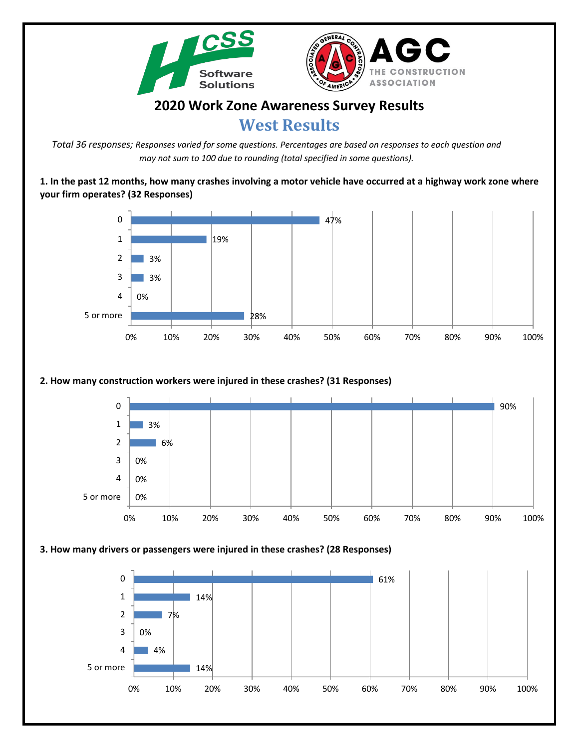



# **2020 Work Zone Awareness Survey Results**

# **West Results**

*Total 36 responses; Responses varied for some questions. Percentages are based on responses to each question and may not sum to 100 due to rounding (total specified in some questions).*

**1. In the past 12 months, how many crashes involving a motor vehicle have occurred at a highway work zone where your firm operates? (32 Responses)**



# **2. How many construction workers were injured in these crashes? (31 Responses)**



#### **3. How many drivers or passengers were injured in these crashes? (28 Responses)**

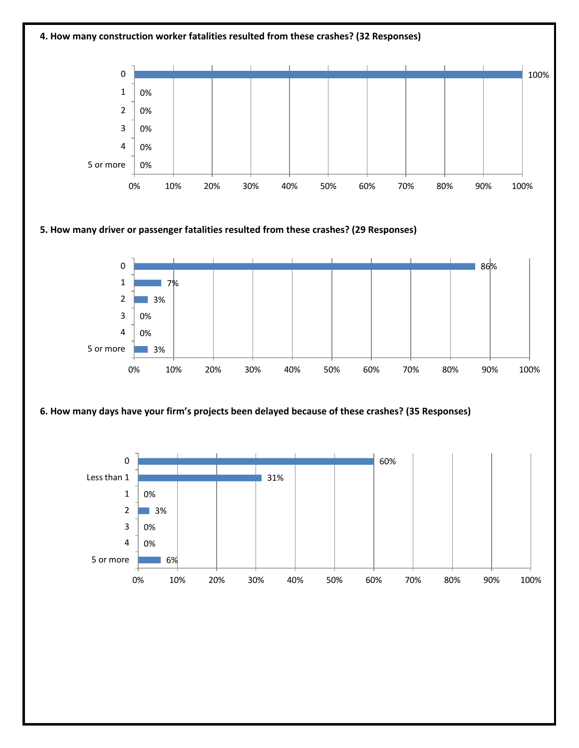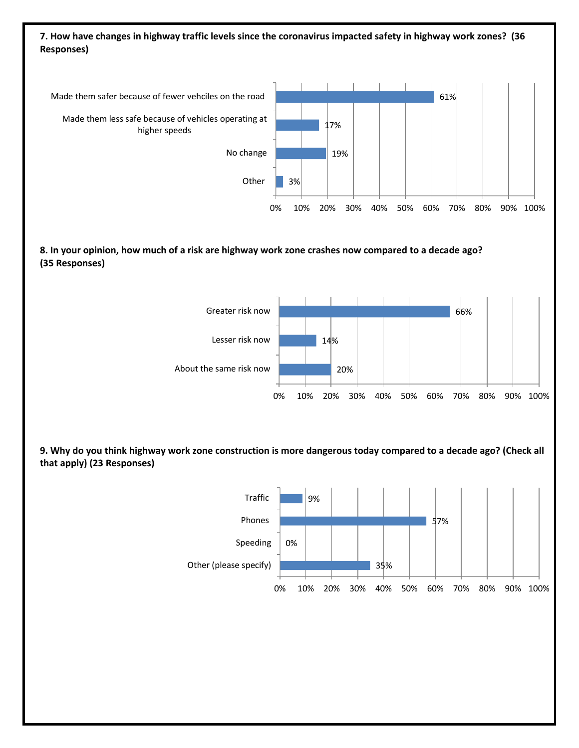# **7. How have changes in highway traffic levels since the coronavirus impacted safety in highway work zones? (36 Responses)**



### **8. In your opinion, how much of a risk are highway work zone crashes now compared to a decade ago? (35 Responses)**



**9. Why do you think highway work zone construction is more dangerous today compared to a decade ago? (Check all that apply) (23 Responses)**

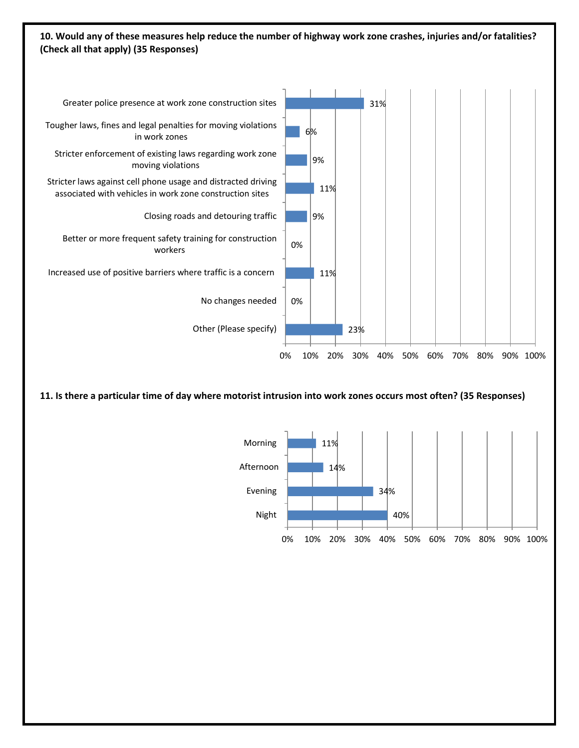## **10. Would any of these measures help reduce the number of highway work zone crashes, injuries and/or fatalities? (Check all that apply) (35 Responses)**



**11. Is there a particular time of day where motorist intrusion into work zones occurs most often? (35 Responses)**